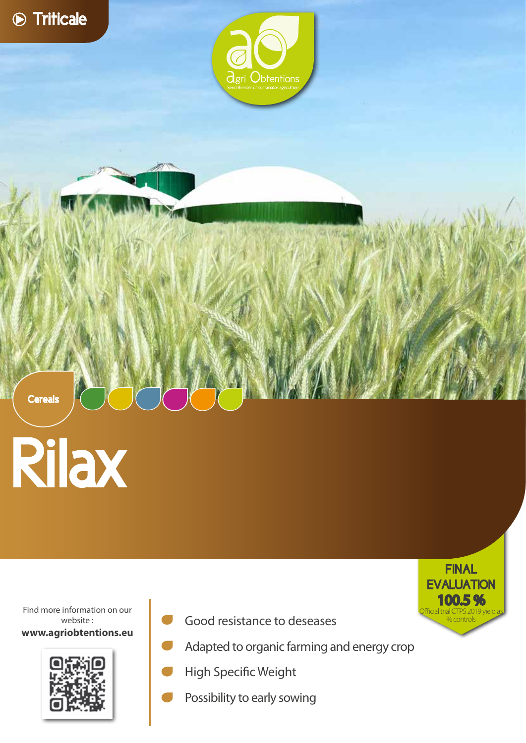

**Cereals** 



Find more information on our website : **www.agriobtentions.eu**



Good resistance to deseases



- Adapted to organic farming and energy crop
- High Specific Weight
- Possibility to early sowing